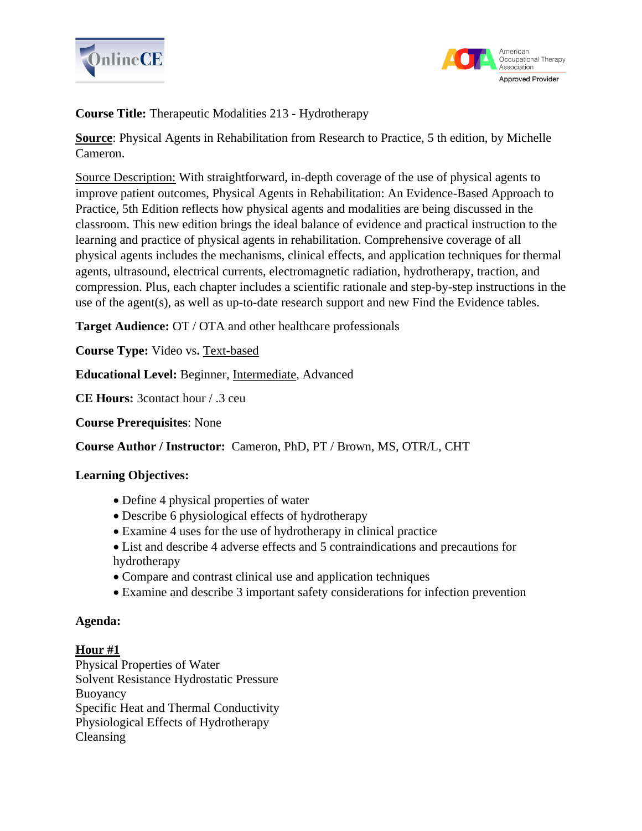



**Course Title:** Therapeutic Modalities 213 - Hydrotherapy

**Source**: Physical Agents in Rehabilitation from Research to Practice, 5 th edition, by Michelle Cameron.

Source Description: With straightforward, in-depth coverage of the use of physical agents to improve patient outcomes, Physical Agents in Rehabilitation: An Evidence-Based Approach to Practice, 5th Edition reflects how physical agents and modalities are being discussed in the classroom. This new edition brings the ideal balance of evidence and practical instruction to the learning and practice of physical agents in rehabilitation. Comprehensive coverage of all physical agents includes the mechanisms, clinical effects, and application techniques for thermal agents, ultrasound, electrical currents, electromagnetic radiation, hydrotherapy, traction, and compression. Plus, each chapter includes a scientific rationale and step-by-step instructions in the use of the agent(s), as well as up-to-date research support and new Find the Evidence tables.

**Target Audience:** OT / OTA and other healthcare professionals

**Course Type:** Video vs. **Text-based** 

**Educational Level:** Beginner, Intermediate, Advanced

**CE Hours:** 3contact hour / .3 ceu

**Course Prerequisites**: None

**Course Author / Instructor:** Cameron, PhD, PT / Brown, MS, OTR/L, CHT

# **Learning Objectives:**

- Define 4 physical properties of water
- Describe 6 physiological effects of hydrotherapy
- Examine 4 uses for the use of hydrotherapy in clinical practice
- List and describe 4 adverse effects and 5 contraindications and precautions for hydrotherapy
- Compare and contrast clinical use and application techniques
- Examine and describe 3 important safety considerations for infection prevention

# **Agenda:**

# **Hour #1**

Physical Properties of Water Solvent Resistance Hydrostatic Pressure Buoyancy Specific Heat and Thermal Conductivity Physiological Effects of Hydrotherapy Cleansing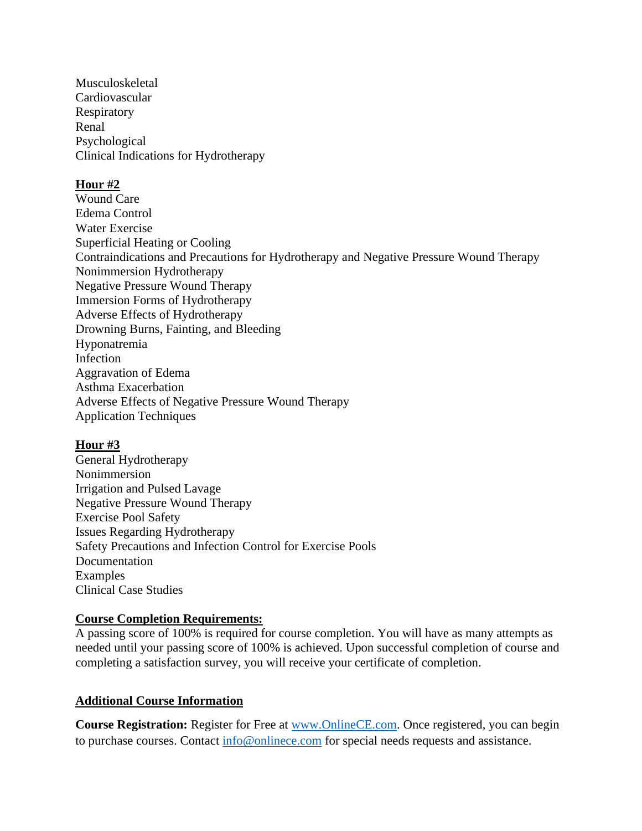Musculoskeletal Cardiovascular Respiratory Renal Psychological Clinical Indications for Hydrotherapy

# **Hour #2**

Wound Care Edema Control Water Exercise Superficial Heating or Cooling Contraindications and Precautions for Hydrotherapy and Negative Pressure Wound Therapy Nonimmersion Hydrotherapy Negative Pressure Wound Therapy Immersion Forms of Hydrotherapy Adverse Effects of Hydrotherapy Drowning Burns, Fainting, and Bleeding Hyponatremia Infection Aggravation of Edema Asthma Exacerbation Adverse Effects of Negative Pressure Wound Therapy Application Techniques

# **Hour #3**

General Hydrotherapy Nonimmersion Irrigation and Pulsed Lavage Negative Pressure Wound Therapy Exercise Pool Safety Issues Regarding Hydrotherapy Safety Precautions and Infection Control for Exercise Pools Documentation Examples Clinical Case Studies

# **Course Completion Requirements:**

A passing score of 100% is required for course completion. You will have as many attempts as needed until your passing score of 100% is achieved. Upon successful completion of course and completing a satisfaction survey, you will receive your certificate of completion.

# **Additional Course Information**

**Course Registration:** Register for Free at [www.OnlineCE.com.](http://www.onlinece.com/) Once registered, you can begin to purchase courses. Contact [info@onlinece.com](mailto:info@onlinece.com) for special needs requests and assistance.